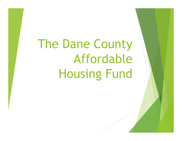The Dane County Affordable Housing Fund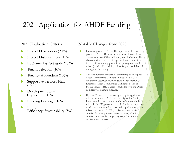## 2021 Application for AHDF Funding

▶

## 2021 Evaluation Criteria

- $\blacktriangleright$ Project Description (20%)
- $\blacktriangleright$ Project Disbursement (15%)
- $\blacktriangleright$ By-Name List Set-aside (10%)
- $\blacktriangleright$ Tenant Selection (10%)
- $\blacktriangleright$ Tenancy Addendum (10%)
- $\blacktriangleright$  Supportive Services Plan  $(15\%)$
- $\blacktriangleright$  Development Team Capabilities (10%)
- $\blacktriangleright$ Funding Leverage (10%)
- $\blacktriangleright$  Energy Efficiency/Sustainability (5%)

## Notable Changes from 2020

- ▶ Increased points for Project Description and decreased points for Project Disbursement (formerly location) based on feedback from **Office of Equity and Inclusion**. This allowed reviewers to take site specific location amenities into consideration (e.g. proximity to grocery stores and schools) while still providing points for projects disbursed throughout the county.
- ▶ Awarded points to projects for committing to Enterprise Green Communities Certification, ENERGY STAR Multifamily New Construction & EPA Indoor airPLUS, Enterprise Green Communities Certification Plus, or Passive House (PHIUS) after consultation with the **Office of Energy & Climate Change.**
	- Updated Tenant Selection scoring to require applicants select a minimum of 3 criteria to be eligible for funding. Points awarded based on the number of additional criteria selected. In 2020, projects received 10 points for agreeing to all criteria and denial process; and 1 applicant agreed to follow the criteria. In 2021, applicants agreed to 4-10 criteria. Awarded projects selected an average of 6.5 criteria, and 4 awarded projects agreed to incorporate detailed denial process.